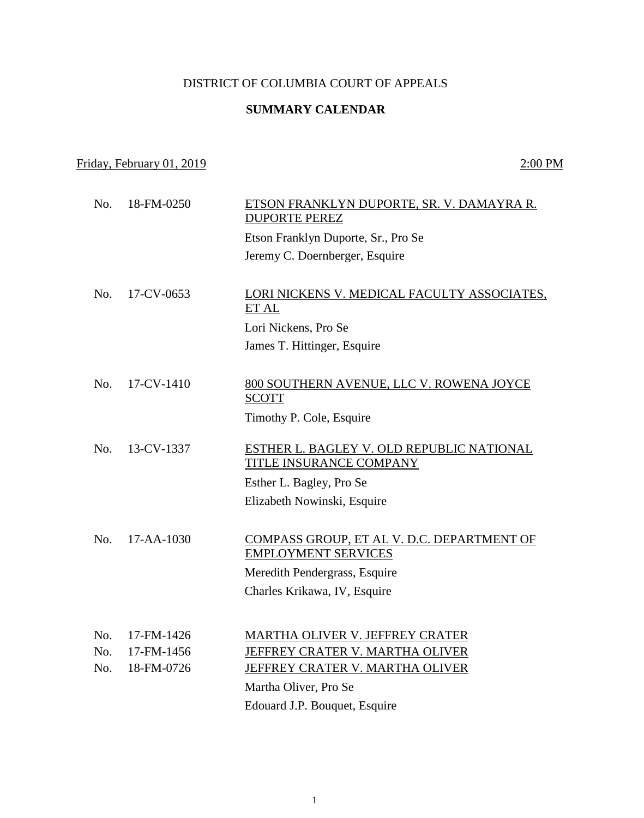## DISTRICT OF COLUMBIA COURT OF APPEALS

## **SUMMARY CALENDAR**

## Friday, February 01, 2019 2:00 PM

| No. | 18-FM-0250       | ETSON FRANKLYN DUPORTE, SR. V. DAMAYRA R.<br><b>DUPORTE PEREZ</b>    |
|-----|------------------|----------------------------------------------------------------------|
|     |                  | Etson Franklyn Duporte, Sr., Pro Se                                  |
|     |                  | Jeremy C. Doernberger, Esquire                                       |
|     |                  |                                                                      |
|     |                  |                                                                      |
| No. | 17-CV-0653       | LORI NICKENS V. MEDICAL FACULTY ASSOCIATES,<br>ET AL                 |
|     |                  |                                                                      |
|     |                  | Lori Nickens, Pro Se                                                 |
|     |                  | James T. Hittinger, Esquire                                          |
|     |                  |                                                                      |
| No. | 17-CV-1410       | 800 SOUTHERN AVENUE, LLC V. ROWENA JOYCE                             |
|     |                  | <b>SCOTT</b>                                                         |
|     |                  | Timothy P. Cole, Esquire                                             |
|     |                  |                                                                      |
| No. | 13-CV-1337       | ESTHER L. BAGLEY V. OLD REPUBLIC NATIONAL<br>TITLE INSURANCE COMPANY |
|     |                  |                                                                      |
|     |                  | Esther L. Bagley, Pro Se                                             |
|     |                  | Elizabeth Nowinski, Esquire                                          |
|     |                  |                                                                      |
| No. | $17 - AA - 1030$ | COMPASS GROUP, ET AL V. D.C. DEPARTMENT OF                           |
|     |                  | <b>EMPLOYMENT SERVICES</b>                                           |
|     |                  | Meredith Pendergrass, Esquire                                        |
|     |                  | Charles Krikawa, IV, Esquire                                         |
|     |                  |                                                                      |
| No. | 17-FM-1426       |                                                                      |
| No. | 17-FM-1456       | MARTHA OLIVER V. JEFFREY CRATER                                      |
| No. | 18-FM-0726       | JEFFREY CRATER V. MARTHA OLIVER                                      |
|     |                  | JEFFREY CRATER V. MARTHA OLIVER                                      |
|     |                  | Martha Oliver, Pro Se                                                |
|     |                  | Edouard J.P. Bouquet, Esquire                                        |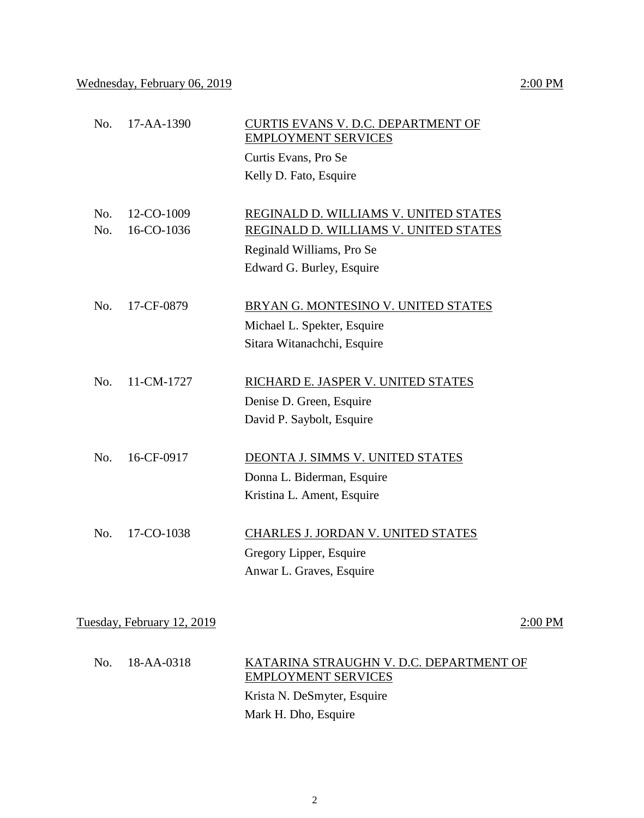| No. | 17-AA-1390                 | CURTIS EVANS V. D.C. DEPARTMENT OF<br><b>EMPLOYMENT SERVICES</b>      |           |
|-----|----------------------------|-----------------------------------------------------------------------|-----------|
|     |                            | Curtis Evans, Pro Se                                                  |           |
|     |                            | Kelly D. Fato, Esquire                                                |           |
| No. | 12-CO-1009                 | REGINALD D. WILLIAMS V. UNITED STATES                                 |           |
| No. | 16-CO-1036                 | REGINALD D. WILLIAMS V. UNITED STATES                                 |           |
|     |                            | Reginald Williams, Pro Se                                             |           |
|     |                            | Edward G. Burley, Esquire                                             |           |
| No. | 17-CF-0879                 | BRYAN G. MONTESINO V. UNITED STATES                                   |           |
|     |                            | Michael L. Spekter, Esquire                                           |           |
|     |                            | Sitara Witanachchi, Esquire                                           |           |
| No. | 11-CM-1727                 | RICHARD E. JASPER V. UNITED STATES                                    |           |
|     |                            | Denise D. Green, Esquire                                              |           |
|     |                            | David P. Saybolt, Esquire                                             |           |
| No. | 16-CF-0917                 | DEONTA J. SIMMS V. UNITED STATES                                      |           |
|     |                            | Donna L. Biderman, Esquire                                            |           |
|     |                            | Kristina L. Ament, Esquire                                            |           |
| No. | 17-CO-1038                 | CHARLES J. JORDAN V. UNITED STATES                                    |           |
|     |                            | Gregory Lipper, Esquire                                               |           |
|     |                            | Anwar L. Graves, Esquire                                              |           |
|     |                            |                                                                       |           |
|     | Tuesday, February 12, 2019 |                                                                       | $2:00$ PM |
| No. | 18-AA-0318                 | KATARINA STRAUGHN V. D.C. DEPARTMENT OF<br><b>EMPLOYMENT SERVICES</b> |           |
|     |                            | Krista N. DeSmyter, Esquire                                           |           |
|     |                            | Mark H. Dho, Esquire                                                  |           |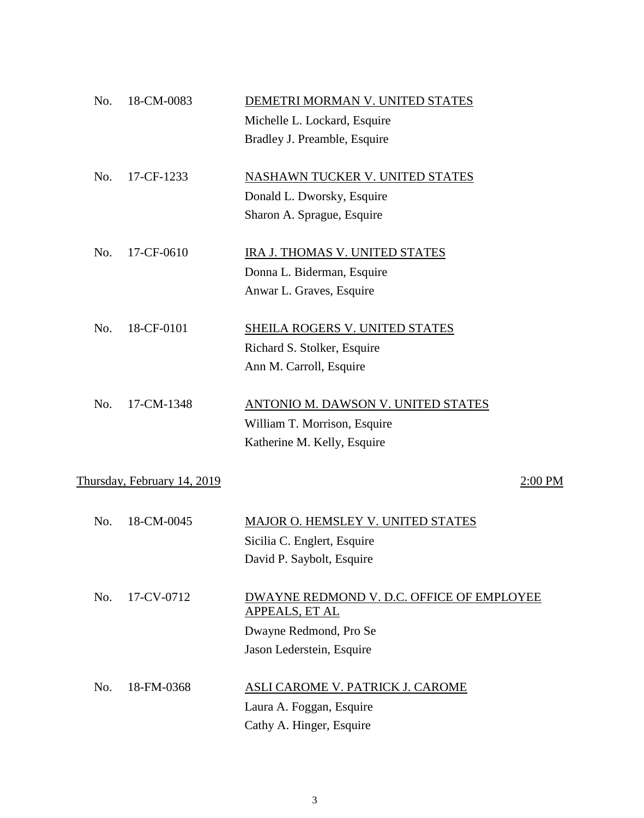| No. | 18-CM-0083                  | DEMETRI MORMAN V. UNITED STATES           |
|-----|-----------------------------|-------------------------------------------|
|     |                             | Michelle L. Lockard, Esquire              |
|     |                             | Bradley J. Preamble, Esquire              |
|     |                             |                                           |
| No. | 17-CF-1233                  | NASHAWN TUCKER V. UNITED STATES           |
|     |                             | Donald L. Dworsky, Esquire                |
|     |                             | Sharon A. Sprague, Esquire                |
| No. | 17-CF-0610                  | IRA J. THOMAS V. UNITED STATES            |
|     |                             | Donna L. Biderman, Esquire                |
|     |                             |                                           |
|     |                             | Anwar L. Graves, Esquire                  |
| No. | 18-CF-0101                  | SHEILA ROGERS V. UNITED STATES            |
|     |                             | Richard S. Stolker, Esquire               |
|     |                             | Ann M. Carroll, Esquire                   |
|     |                             |                                           |
| No. | 17-CM-1348                  | <b>ANTONIO M. DAWSON V. UNITED STATES</b> |
|     |                             | William T. Morrison, Esquire              |
|     |                             | Katherine M. Kelly, Esquire               |
|     |                             |                                           |
|     | Thursday, February 14, 2019 | 2:00 PM                                   |
| No. | 18-CM-0045                  | MAJOR O. HEMSLEY V. UNITED STATES         |
|     |                             | Sicilia C. Englert, Esquire               |
|     |                             | David P. Saybolt, Esquire                 |
|     |                             |                                           |
| No. | 17-CV-0712                  | DWAYNE REDMOND V. D.C. OFFICE OF EMPLOYEE |
|     |                             | APPEALS, ET AL                            |
|     |                             | Dwayne Redmond, Pro Se                    |
|     |                             | Jason Lederstein, Esquire                 |
| No. | 18-FM-0368                  | ASLI CAROME V. PATRICK J. CAROME          |
|     |                             | Laura A. Foggan, Esquire                  |
|     |                             | Cathy A. Hinger, Esquire                  |
|     |                             |                                           |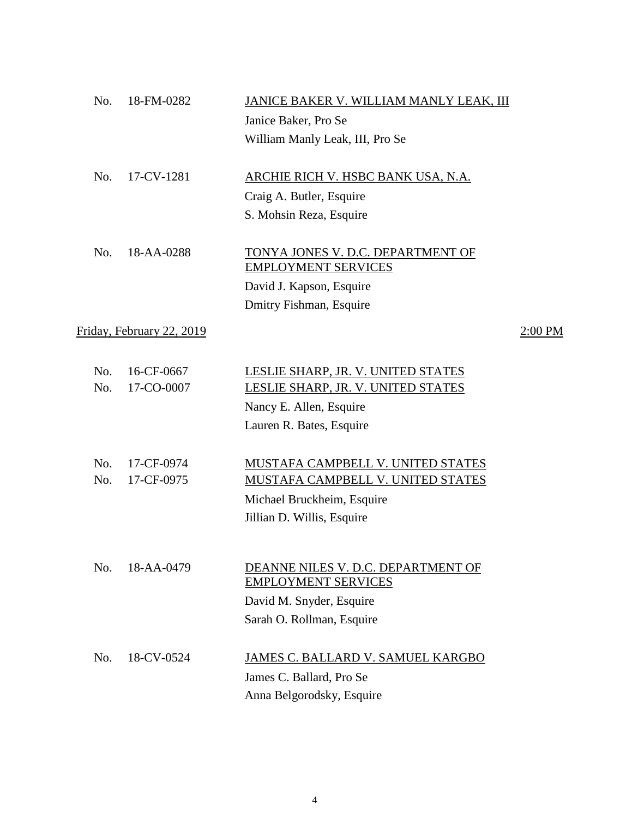| 18-FM-0282<br>No.         | JANICE BAKER V. WILLIAM MANLY LEAK, III                          |         |
|---------------------------|------------------------------------------------------------------|---------|
|                           | Janice Baker, Pro Se                                             |         |
|                           | William Manly Leak, III, Pro Se                                  |         |
| No.<br>17-CV-1281         | ARCHIE RICH V. HSBC BANK USA, N.A.                               |         |
|                           | Craig A. Butler, Esquire                                         |         |
|                           | S. Mohsin Reza, Esquire                                          |         |
| No.<br>18-AA-0288         | TONYA JONES V. D.C. DEPARTMENT OF<br><b>EMPLOYMENT SERVICES</b>  |         |
|                           | David J. Kapson, Esquire                                         |         |
|                           | Dmitry Fishman, Esquire                                          |         |
| Friday, February 22, 2019 |                                                                  | 2:00 PM |
| No.<br>16-CF-0667         | LESLIE SHARP, JR. V. UNITED STATES                               |         |
| 17-CO-0007<br>No.         | LESLIE SHARP, JR. V. UNITED STATES                               |         |
|                           | Nancy E. Allen, Esquire                                          |         |
|                           | Lauren R. Bates, Esquire                                         |         |
| No.<br>17-CF-0974         | MUSTAFA CAMPBELL V. UNITED STATES                                |         |
| 17-CF-0975<br>No.         | MUSTAFA CAMPBELL V. UNITED STATES                                |         |
|                           | Michael Bruckheim, Esquire                                       |         |
|                           | Jillian D. Willis, Esquire                                       |         |
|                           |                                                                  |         |
| No.<br>18-AA-0479         | DEANNE NILES V. D.C. DEPARTMENT OF<br><b>EMPLOYMENT SERVICES</b> |         |
|                           | David M. Snyder, Esquire                                         |         |
|                           | Sarah O. Rollman, Esquire                                        |         |
| No.<br>18-CV-0524         | JAMES C. BALLARD V. SAMUEL KARGBO                                |         |
|                           | James C. Ballard, Pro Se                                         |         |
|                           | Anna Belgorodsky, Esquire                                        |         |